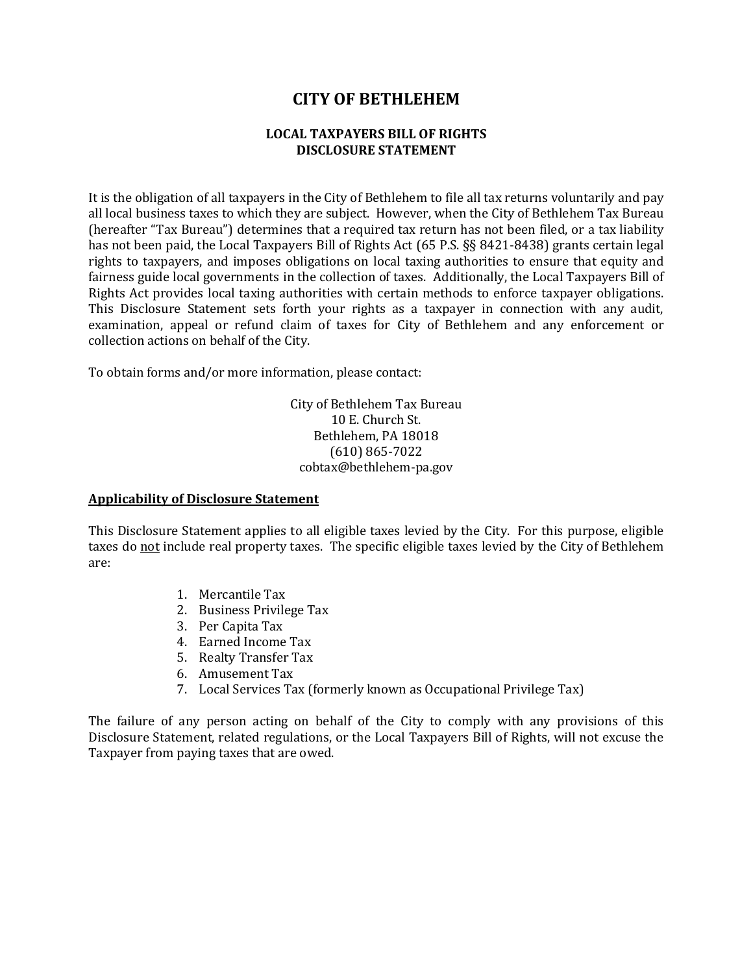# **CITY OF BETHLEHEM**

#### **LOCAL TAXPAYERS BILL OF RIGHTS DISCLOSURE STATEMENT**

It is the obligation of all taxpayers in the City of Bethlehem to file all tax returns voluntarily and pay all local business taxes to which they are subject. However, when the City of Bethlehem Tax Bureau (hereafter "Tax Bureau") determines that a required tax return has not been filed, or a tax liability has not been paid, the Local Taxpayers Bill of Rights Act (65 P.S. §§ 8421-8438) grants certain legal rights to taxpayers, and imposes obligations on local taxing authorities to ensure that equity and fairness guide local governments in the collection of taxes. Additionally, the Local Taxpayers Bill of Rights Act provides local taxing authorities with certain methods to enforce taxpayer obligations. This Disclosure Statement sets forth your rights as a taxpayer in connection with any audit, examination, appeal or refund claim of taxes for City of Bethlehem and any enforcement or collection actions on behalf of the City.

To obtain forms and/or more information, please contact:

City of Bethlehem Tax Bureau 10 E. Church St. Bethlehem, PA 18018 (610) 865-7022 cobtax@bethlehem-pa.gov

#### **Applicability of Disclosure Statement**

This Disclosure Statement applies to all eligible taxes levied by the City. For this purpose, eligible taxes do not include real property taxes. The specific eligible taxes levied by the City of Bethlehem are:

- 1. Mercantile Tax
- 2. Business Privilege Tax
- 3. Per Capita Tax
- 4. Earned Income Tax
- 5. Realty Transfer Tax
- 6. Amusement Tax
- 7. Local Services Tax (formerly known as Occupational Privilege Tax)

The failure of any person acting on behalf of the City to comply with any provisions of this Disclosure Statement, related regulations, or the Local Taxpayers Bill of Rights, will not excuse the Taxpayer from paying taxes that are owed.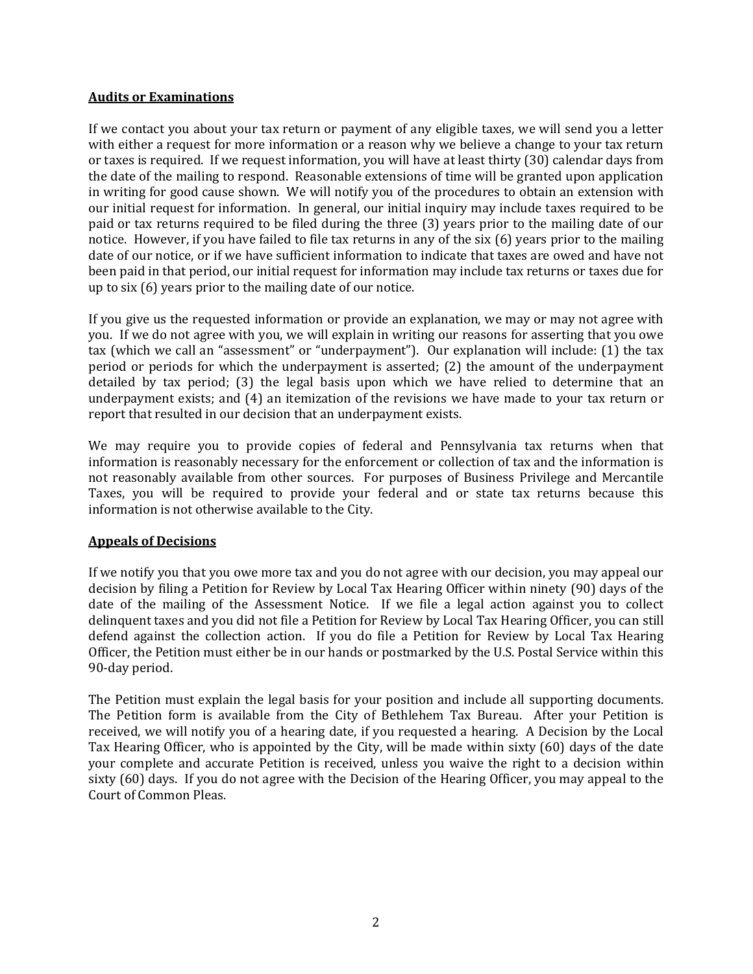#### **Audits or Examinations**

If we contact you about your tax return or payment of any eligible taxes, we will send you a letter with either a request for more information or a reason why we believe a change to your tax return or taxes is required. If we request information, you will have at least thirty (30) calendar days from the date of the mailing to respond. Reasonable extensions of time will be granted upon application in writing for good cause shown. We will notify you of the procedures to obtain an extension with our initial request for information. In general, our initial inquiry may include taxes required to be paid or tax returns required to be filed during the three (3) years prior to the mailing date of our notice. However, if you have failed to file tax returns in any of the six (6) years prior to the mailing date of our notice, or if we have sufficient information to indicate that taxes are owed and have not been paid in that period, our initial request for information may include tax returns or taxes due for up to six (6) years prior to the mailing date of our notice.

If you give us the requested information or provide an explanation, we may or may not agree with you. If we do not agree with you, we will explain in writing our reasons for asserting that you owe tax (which we call an "assessment" or "underpayment"). Our explanation will include: (1) the tax period or periods for which the underpayment is asserted; (2) the amount of the underpayment detailed by tax period; (3) the legal basis upon which we have relied to determine that an underpayment exists; and (4) an itemization of the revisions we have made to your tax return or report that resulted in our decision that an underpayment exists.

We may require you to provide copies of federal and Pennsylvania tax returns when that information is reasonably necessary for the enforcement or collection of tax and the information is not reasonably available from other sources. For purposes of Business Privilege and Mercantile Taxes, you will be required to provide your federal and or state tax returns because this information is not otherwise available to the City.

# **Appeals of Decisions**

If we notify you that you owe more tax and you do not agree with our decision, you may appeal our decision by filing a Petition for Review by Local Tax Hearing Officer within ninety (90) days of the date of the mailing of the Assessment Notice. If we file a legal action against you to collect delinquent taxes and you did not file a Petition for Review by Local Tax Hearing Officer, you can still defend against the collection action. If you do file a Petition for Review by Local Tax Hearing Officer, the Petition must either be in our hands or postmarked by the U.S. Postal Service within this 90-day period.

The Petition must explain the legal basis for your position and include all supporting documents. The Petition form is available from the City of Bethlehem Tax Bureau. After your Petition is received, we will notify you of a hearing date, if you requested a hearing. A Decision by the Local Tax Hearing Officer, who is appointed by the City, will be made within sixty (60) days of the date your complete and accurate Petition is received, unless you waive the right to a decision within sixty (60) days. If you do not agree with the Decision of the Hearing Officer, you may appeal to the Court of Common Pleas.